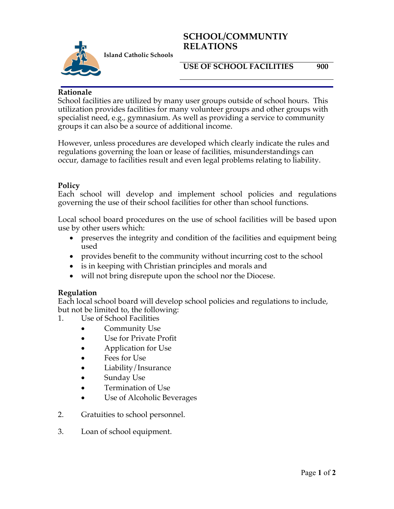## **SCHOOL/COMMUNTIY RELATIONS**



**Island Catholic Schools** 

### **USE OF SCHOOL FACILITIES 900**

#### **Rationale**

School facilities are utilized by many user groups outside of school hours. This utilization provides facilities for many volunteer groups and other groups with specialist need, e.g., gymnasium. As well as providing a service to community groups it can also be a source of additional income.

However, unless procedures are developed which clearly indicate the rules and regulations governing the loan or lease of facilities, misunderstandings can occur, damage to facilities result and even legal problems relating to liability.

#### **Policy**

Each school will develop and implement school policies and regulations governing the use of their school facilities for other than school functions.

Local school board procedures on the use of school facilities will be based upon use by other users which:

- preserves the integrity and condition of the facilities and equipment being used
- provides benefit to the community without incurring cost to the school
- is in keeping with Christian principles and morals and
- will not bring disrepute upon the school nor the Diocese.

#### **Regulation**

Each local school board will develop school policies and regulations to include, but not be limited to, the following:<br>1. Use of School Facilities

- Use of School Facilities
	- Community Use
	- Use for Private Profit
	- Application for Use
	- Fees for Use
	- Liability/Insurance
	- Sunday Use
	- Termination of Use
	- Use of Alcoholic Beverages
- 2. Gratuities to school personnel.
- 3. Loan of school equipment.